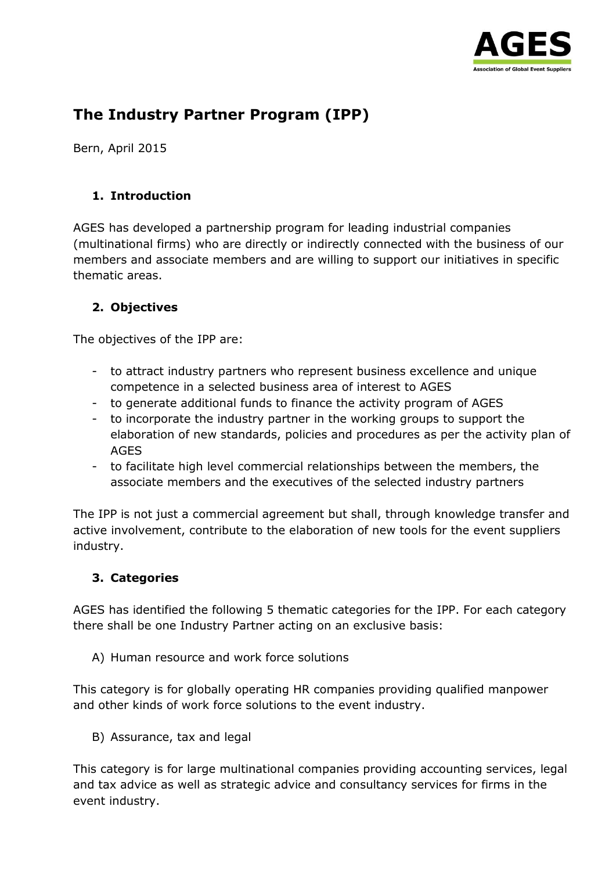

# **The Industry Partner Program (IPP)**

Bern, April 2015

#### **1. Introduction**

AGES has developed a partnership program for leading industrial companies (multinational firms) who are directly or indirectly connected with the business of our members and associate members and are willing to support our initiatives in specific thematic areas.

### **2. Objectives**

The objectives of the IPP are:

- to attract industry partners who represent business excellence and unique competence in a selected business area of interest to AGES
- to generate additional funds to finance the activity program of AGES
- to incorporate the industry partner in the working groups to support the elaboration of new standards, policies and procedures as per the activity plan of AGES
- to facilitate high level commercial relationships between the members, the associate members and the executives of the selected industry partners

The IPP is not just a commercial agreement but shall, through knowledge transfer and active involvement, contribute to the elaboration of new tools for the event suppliers industry.

### **3. Categories**

AGES has identified the following 5 thematic categories for the IPP. For each category there shall be one Industry Partner acting on an exclusive basis:

A) Human resource and work force solutions

This category is for globally operating HR companies providing qualified manpower and other kinds of work force solutions to the event industry.

B) Assurance, tax and legal

This category is for large multinational companies providing accounting services, legal and tax advice as well as strategic advice and consultancy services for firms in the event industry.